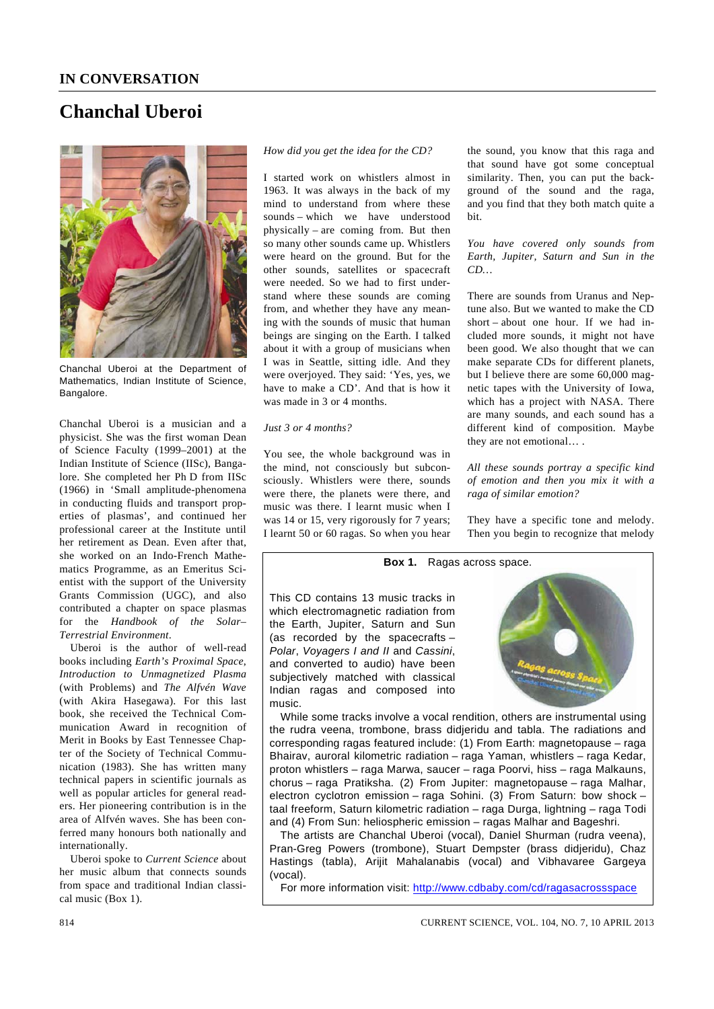# **Chanchal Uberoi**



Chanchal Uberoi at the Department of Mathematics, Indian Institute of Science, Bangalore.

Chanchal Uberoi is a musician and a physicist. She was the first woman Dean of Science Faculty (1999–2001) at the Indian Institute of Science (IISc), Bangalore. She completed her Ph D from IISc (1966) in 'Small amplitude-phenomena in conducting fluids and transport properties of plasmas', and continued her professional career at the Institute until her retirement as Dean. Even after that, she worked on an Indo-French Mathematics Programme, as an Emeritus Scientist with the support of the University Grants Commission (UGC), and also contributed a chapter on space plasmas for the *Handbook of the Solar– Terrestrial Environment*.

 Uberoi is the author of well-read books including *Earth's Proximal Space*, *Introduction to Unmagnetized Plasma*  (with Problems) and *The Alfvén Wave* (with Akira Hasegawa). For this last book, she received the Technical Communication Award in recognition of Merit in Books by East Tennessee Chapter of the Society of Technical Communication (1983). She has written many technical papers in scientific journals as well as popular articles for general readers. Her pioneering contribution is in the area of Alfvén waves. She has been conferred many honours both nationally and internationally.

 Uberoi spoke to *Current Science* about her music album that connects sounds from space and traditional Indian classical music (Box 1).

## *How did you get the idea for the CD?*

I started work on whistlers almost in 1963. It was always in the back of my mind to understand from where these sounds – which we have understood physically – are coming from. But then so many other sounds came up. Whistlers were heard on the ground. But for the other sounds, satellites or spacecraft were needed. So we had to first understand where these sounds are coming from, and whether they have any meaning with the sounds of music that human beings are singing on the Earth. I talked about it with a group of musicians when I was in Seattle, sitting idle. And they were overjoyed. They said: 'Yes, yes, we have to make a CD'. And that is how it was made in 3 or 4 months.

## *Just 3 or 4 months?*

You see, the whole background was in the mind, not consciously but subconsciously. Whistlers were there, sounds were there, the planets were there, and music was there. I learnt music when I was 14 or 15, very rigorously for 7 years; I learnt 50 or 60 ragas. So when you hear

the sound, you know that this raga and that sound have got some conceptual similarity. Then, you can put the background of the sound and the raga, and you find that they both match quite a bit.

## *You have covered only sounds from Earth, Jupiter, Saturn and Sun in the CD…*

There are sounds from Uranus and Neptune also. But we wanted to make the CD short – about one hour. If we had included more sounds, it might not have been good. We also thought that we can make separate CDs for different planets, but I believe there are some 60,000 magnetic tapes with the University of Iowa, which has a project with NASA. There are many sounds, and each sound has a different kind of composition. Maybe they are not emotional… .

*All these sounds portray a specific kind of emotion and then you mix it with a raga of similar emotion?* 

They have a specific tone and melody. Then you begin to recognize that melody

## **Box 1.** Ragas across space.

This CD contains 13 music tracks in which electromagnetic radiation from the Earth, Jupiter, Saturn and Sun (as recorded by the spacecrafts – *Polar*, *Voyagers I and II* and *Cassini*, and converted to audio) have been subjectively matched with classical Indian ragas and composed into music.



While some tracks involve a vocal rendition, others are instrumental using the rudra veena, trombone, brass didjeridu and tabla. The radiations and corresponding ragas featured include: (1) From Earth: magnetopause – raga Bhairav, auroral kilometric radiation – raga Yaman, whistlers – raga Kedar, proton whistlers – raga Marwa, saucer – raga Poorvi, hiss – raga Malkauns, chorus – raga Pratiksha. (2) From Jupiter: magnetopause – raga Malhar, electron cyclotron emission – raga Sohini. (3) From Saturn: bow shock – taal freeform, Saturn kilometric radiation – raga Durga, lightning – raga Todi and (4) From Sun: heliospheric emission – ragas Malhar and Bageshri.

The artists are Chanchal Uberoi (vocal), Daniel Shurman (rudra veena), Pran-Greg Powers (trombone), Stuart Dempster (brass didjeridu), Chaz Hastings (tabla), Arijit Mahalanabis (vocal) and Vibhavaree Gargeya (vocal).

For more information visit: http://www.cdbaby.com/cd/ragasacrossspace